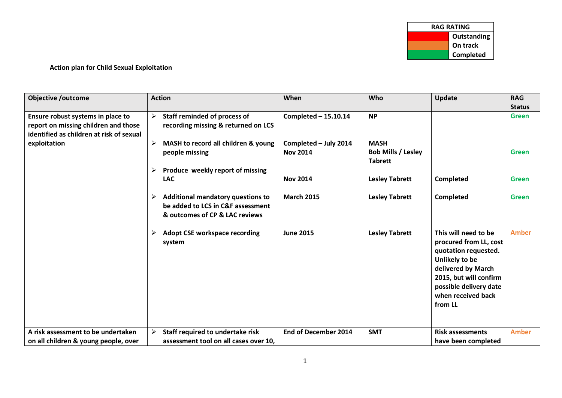| <b>RAG RATING</b> |             |  |  |  |
|-------------------|-------------|--|--|--|
|                   | Outstanding |  |  |  |
|                   | On track    |  |  |  |
| Completed         |             |  |  |  |

## **Action plan for Child Sexual Exploitation**

| <b>Objective /outcome</b>                                                                                             | <b>Action</b>                                                                                                   | When                                     | Who                                                        | Update                                                                                                                                                                                              | <b>RAG</b>    |
|-----------------------------------------------------------------------------------------------------------------------|-----------------------------------------------------------------------------------------------------------------|------------------------------------------|------------------------------------------------------------|-----------------------------------------------------------------------------------------------------------------------------------------------------------------------------------------------------|---------------|
|                                                                                                                       |                                                                                                                 |                                          |                                                            |                                                                                                                                                                                                     | <b>Status</b> |
| Ensure robust systems in place to<br>report on missing children and those<br>identified as children at risk of sexual | <b>Staff reminded of process of</b><br>➤<br>recording missing & returned on LCS                                 | Completed $-15.10.14$                    | <b>NP</b>                                                  |                                                                                                                                                                                                     | <b>Green</b>  |
| exploitation                                                                                                          | MASH to record all children & young<br>➤<br>people missing                                                      | Completed - July 2014<br><b>Nov 2014</b> | <b>MASH</b><br><b>Bob Mills / Lesley</b><br><b>Tabrett</b> |                                                                                                                                                                                                     | <b>Green</b>  |
|                                                                                                                       | Produce weekly report of missing<br>➤                                                                           |                                          |                                                            |                                                                                                                                                                                                     |               |
|                                                                                                                       | <b>LAC</b>                                                                                                      | <b>Nov 2014</b>                          | <b>Lesley Tabrett</b>                                      | Completed                                                                                                                                                                                           | <b>Green</b>  |
|                                                                                                                       | <b>Additional mandatory questions to</b><br>be added to LCS in C&F assessment<br>& outcomes of CP & LAC reviews | <b>March 2015</b>                        | <b>Lesley Tabrett</b>                                      | Completed                                                                                                                                                                                           | <b>Green</b>  |
|                                                                                                                       | <b>Adopt CSE workspace recording</b><br>system                                                                  | <b>June 2015</b>                         | <b>Lesley Tabrett</b>                                      | This will need to be<br>procured from LL, cost<br>quotation requested.<br>Unlikely to be<br>delivered by March<br>2015, but will confirm<br>possible delivery date<br>when received back<br>from LL | <b>Amber</b>  |
| A risk assessment to be undertaken                                                                                    | Staff required to undertake risk<br>➤                                                                           | <b>End of December 2014</b>              | <b>SMT</b>                                                 | <b>Risk assessments</b>                                                                                                                                                                             | <b>Amber</b>  |
| on all children & young people, over                                                                                  | assessment tool on all cases over 10,                                                                           |                                          |                                                            | have been completed                                                                                                                                                                                 |               |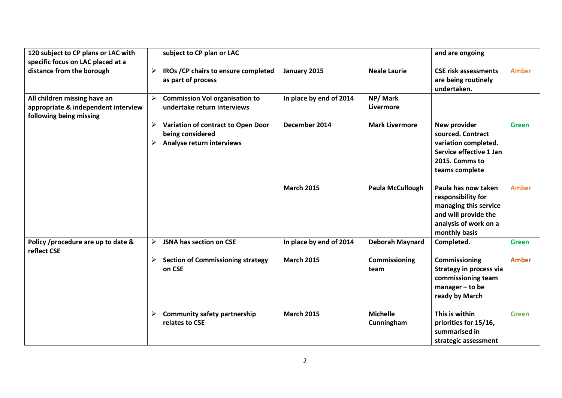| 120 subject to CP plans or LAC with<br>specific focus on LAC placed at a                       | subject to CP plan or LAC                                                                     |                         |                               | and are ongoing                                                                                                                      |              |
|------------------------------------------------------------------------------------------------|-----------------------------------------------------------------------------------------------|-------------------------|-------------------------------|--------------------------------------------------------------------------------------------------------------------------------------|--------------|
| distance from the borough                                                                      | $\blacktriangleright$<br>IROs / CP chairs to ensure completed<br>as part of process           | January 2015            | <b>Neale Laurie</b>           | <b>CSE risk assessments</b><br>are being routinely<br>undertaken.                                                                    | <b>Amber</b> |
| All children missing have an<br>appropriate & independent interview<br>following being missing | $\blacktriangleright$<br><b>Commission Vol organisation to</b><br>undertake return interviews | In place by end of 2014 | NP/Mark<br>Livermore          |                                                                                                                                      |              |
|                                                                                                | ➤<br>Variation of contract to Open Door<br>being considered<br>Analyse return interviews<br>≻ | December 2014           | <b>Mark Livermore</b>         | New provider<br>sourced. Contract<br>variation completed.<br>Service effective 1 Jan<br>2015. Comms to<br>teams complete             | <b>Green</b> |
|                                                                                                |                                                                                               | <b>March 2015</b>       | <b>Paula McCullough</b>       | Paula has now taken<br>responsibility for<br>managing this service<br>and will provide the<br>analysis of work on a<br>monthly basis | <b>Amber</b> |
| Policy /procedure are up to date &<br>reflect CSE                                              | $\blacktriangleright$<br><b>JSNA has section on CSE</b>                                       | In place by end of 2014 | <b>Deborah Maynard</b>        | Completed.                                                                                                                           | <b>Green</b> |
|                                                                                                | <b>Section of Commissioning strategy</b><br>➤<br>on CSE                                       | <b>March 2015</b>       | Commissioning<br>team         | <b>Commissioning</b><br><b>Strategy in process via</b><br>commissioning team<br>manager $-$ to be<br>ready by March                  | <b>Amber</b> |
|                                                                                                | <b>Community safety partnership</b><br>relates to CSE                                         | <b>March 2015</b>       | <b>Michelle</b><br>Cunningham | This is within<br>priorities for 15/16,<br>summarised in<br>strategic assessment                                                     | <b>Green</b> |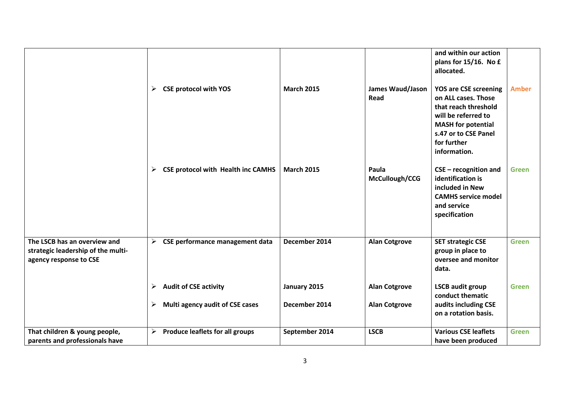|                                                                                              | <b>CSE protocol with YOS</b><br>➤<br><b>CSE protocol with Health inc CAMHS</b><br>➤ | <b>March 2015</b><br><b>March 2015</b> | James Waud/Jason<br><b>Read</b><br>Paula     | and within our action<br>plans for 15/16. No £<br>allocated.<br><b>YOS are CSE screening</b><br>on ALL cases. Those<br>that reach threshold<br>will be referred to<br><b>MASH</b> for potential<br>s.47 or to CSE Panel<br>for further<br>information.<br>$CSE - recognition$ and | <b>Amber</b><br><b>Green</b> |
|----------------------------------------------------------------------------------------------|-------------------------------------------------------------------------------------|----------------------------------------|----------------------------------------------|-----------------------------------------------------------------------------------------------------------------------------------------------------------------------------------------------------------------------------------------------------------------------------------|------------------------------|
|                                                                                              |                                                                                     |                                        | McCullough/CCG                               | identification is<br>included in New<br><b>CAMHS service model</b><br>and service<br>specification                                                                                                                                                                                |                              |
| The LSCB has an overview and<br>strategic leadership of the multi-<br>agency response to CSE | CSE performance management data<br>➤                                                | December 2014                          | <b>Alan Cotgrove</b>                         | <b>SET strategic CSE</b><br>group in place to<br>oversee and monitor<br>data.                                                                                                                                                                                                     | <b>Green</b>                 |
|                                                                                              | <b>Audit of CSE activity</b><br>➤<br>Multi agency audit of CSE cases<br>➤           | January 2015<br>December 2014          | <b>Alan Cotgrove</b><br><b>Alan Cotgrove</b> | <b>LSCB audit group</b><br>conduct thematic<br>audits including CSE<br>on a rotation basis.                                                                                                                                                                                       | <b>Green</b>                 |
| That children & young people,<br>parents and professionals have                              | $\triangleright$ Produce leaflets for all groups                                    | September 2014                         | <b>LSCB</b>                                  | <b>Various CSE leaflets</b><br>have been produced                                                                                                                                                                                                                                 | <b>Green</b>                 |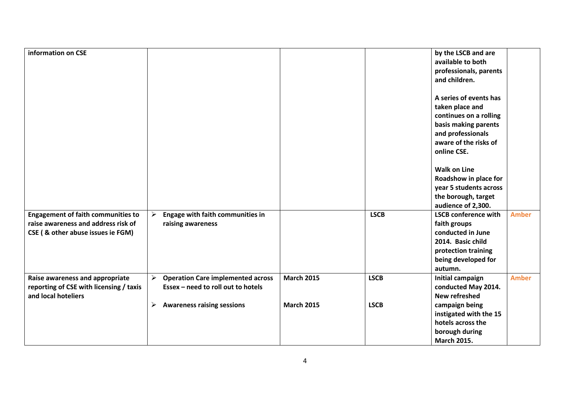| information on CSE                                                                                                    |                                                                                     |                   |             | by the LSCB and are<br>available to both<br>professionals, parents<br>and children.<br>A series of events has<br>taken place and<br>continues on a rolling<br>basis making parents<br>and professionals<br>aware of the risks of<br>online CSE.<br><b>Walk on Line</b><br>Roadshow in place for<br>year 5 students across |              |
|-----------------------------------------------------------------------------------------------------------------------|-------------------------------------------------------------------------------------|-------------------|-------------|---------------------------------------------------------------------------------------------------------------------------------------------------------------------------------------------------------------------------------------------------------------------------------------------------------------------------|--------------|
|                                                                                                                       |                                                                                     |                   |             | the borough, target<br>audience of 2,300.                                                                                                                                                                                                                                                                                 |              |
| <b>Engagement of faith communities to</b><br>raise awareness and address risk of<br>CSE (& other abuse issues ie FGM) | Engage with faith communities in<br>➤<br>raising awareness                          |                   | <b>LSCB</b> | <b>LSCB conference with</b><br>faith groups<br>conducted in June<br>2014. Basic child<br>protection training<br>being developed for<br>autumn.                                                                                                                                                                            | <b>Amber</b> |
| Raise awareness and appropriate<br>reporting of CSE with licensing / taxis<br>and local hoteliers                     | <b>Operation Care implemented across</b><br>➤<br>Essex - need to roll out to hotels | <b>March 2015</b> | <b>LSCB</b> | Initial campaign<br>conducted May 2014.<br><b>New refreshed</b>                                                                                                                                                                                                                                                           | <b>Amber</b> |
|                                                                                                                       | <b>Awareness raising sessions</b><br>≻                                              | <b>March 2015</b> | <b>LSCB</b> | campaign being<br>instigated with the 15<br>hotels across the<br>borough during<br><b>March 2015.</b>                                                                                                                                                                                                                     |              |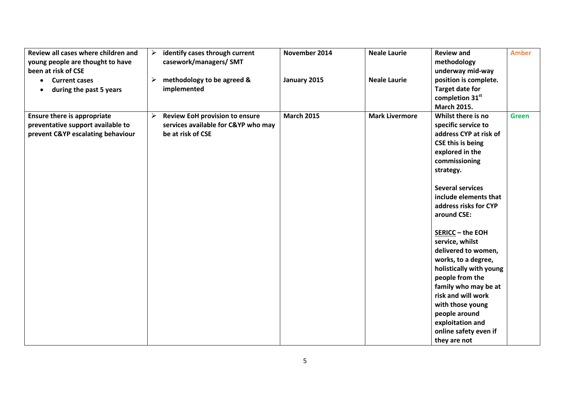| Review all cases where children and<br>young people are thought to have<br>been at risk of CSE<br><b>Current cases</b> | $\triangleright$<br>$\blacktriangleright$ | identify cases through current<br>casework/managers/ SMT<br>methodology to be agreed &            | November 2014<br>January 2015 | <b>Neale Laurie</b><br><b>Neale Laurie</b> | <b>Review and</b><br>methodology<br>underway mid-way<br>position is complete.                                                                                                                                                                                                                                                                                                                                                                                                                                            | <b>Amber</b> |
|------------------------------------------------------------------------------------------------------------------------|-------------------------------------------|---------------------------------------------------------------------------------------------------|-------------------------------|--------------------------------------------|--------------------------------------------------------------------------------------------------------------------------------------------------------------------------------------------------------------------------------------------------------------------------------------------------------------------------------------------------------------------------------------------------------------------------------------------------------------------------------------------------------------------------|--------------|
| during the past 5 years                                                                                                |                                           | implemented                                                                                       |                               |                                            | <b>Target date for</b><br>completion 31st<br><b>March 2015.</b>                                                                                                                                                                                                                                                                                                                                                                                                                                                          |              |
| <b>Ensure there is appropriate</b><br>preventative support available to<br>prevent C&YP escalating behaviour           | ≻                                         | <b>Review EoH provision to ensure</b><br>services available for C&YP who may<br>be at risk of CSE | <b>March 2015</b>             | <b>Mark Livermore</b>                      | Whilst there is no<br>specific service to<br>address CYP at risk of<br>CSE this is being<br>explored in the<br>commissioning<br>strategy.<br><b>Several services</b><br>include elements that<br>address risks for CYP<br>around CSE:<br>SERICC - the EOH<br>service, whilst<br>delivered to women,<br>works, to a degree,<br>holistically with young<br>people from the<br>family who may be at<br>risk and will work<br>with those young<br>people around<br>exploitation and<br>online safety even if<br>they are not | <b>Green</b> |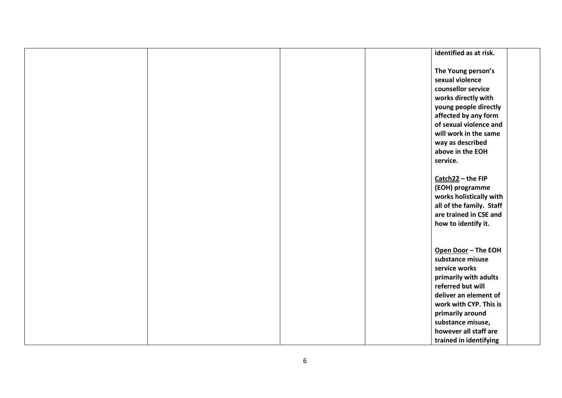|  | identified as at risk.            |  |
|--|-----------------------------------|--|
|  | The Young person's                |  |
|  | sexual violence                   |  |
|  | counsellor service                |  |
|  | works directly with               |  |
|  | young people directly             |  |
|  | affected by any form              |  |
|  | of sexual violence and            |  |
|  | will work in the same             |  |
|  | way as described                  |  |
|  | above in the EOH                  |  |
|  | service.                          |  |
|  |                                   |  |
|  | Catch22 - the FIP                 |  |
|  | (EOH) programme                   |  |
|  | works holistically with           |  |
|  | all of the family. Staff          |  |
|  | are trained in CSE and            |  |
|  | how to identify it.               |  |
|  |                                   |  |
|  |                                   |  |
|  | Open Door - The EOH               |  |
|  | substance misuse<br>service works |  |
|  | primarily with adults             |  |
|  | referred but will                 |  |
|  | deliver an element of             |  |
|  | work with CYP. This is            |  |
|  | primarily around                  |  |
|  | substance misuse,                 |  |
|  | however all staff are             |  |
|  | trained in identifying            |  |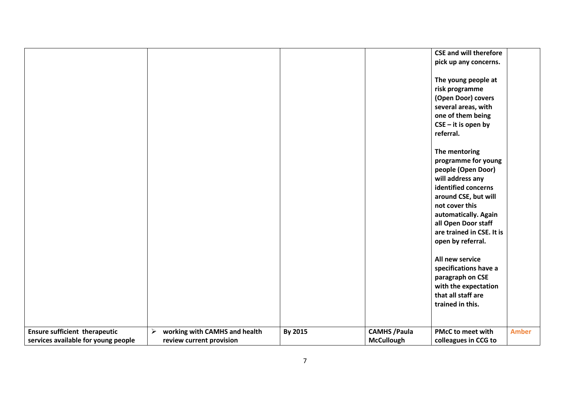|                                      |                                                        |         |                      | <b>CSE and will therefore</b> |              |
|--------------------------------------|--------------------------------------------------------|---------|----------------------|-------------------------------|--------------|
|                                      |                                                        |         |                      | pick up any concerns.         |              |
|                                      |                                                        |         |                      | The young people at           |              |
|                                      |                                                        |         |                      | risk programme                |              |
|                                      |                                                        |         |                      | (Open Door) covers            |              |
|                                      |                                                        |         |                      | several areas, with           |              |
|                                      |                                                        |         |                      | one of them being             |              |
|                                      |                                                        |         |                      | $CSE - it$ is open by         |              |
|                                      |                                                        |         |                      | referral.                     |              |
|                                      |                                                        |         |                      | The mentoring                 |              |
|                                      |                                                        |         |                      | programme for young           |              |
|                                      |                                                        |         |                      | people (Open Door)            |              |
|                                      |                                                        |         |                      | will address any              |              |
|                                      |                                                        |         |                      | identified concerns           |              |
|                                      |                                                        |         |                      | around CSE, but will          |              |
|                                      |                                                        |         |                      | not cover this                |              |
|                                      |                                                        |         |                      | automatically. Again          |              |
|                                      |                                                        |         |                      | all Open Door staff           |              |
|                                      |                                                        |         |                      | are trained in CSE. It is     |              |
|                                      |                                                        |         |                      | open by referral.             |              |
|                                      |                                                        |         |                      | All new service               |              |
|                                      |                                                        |         |                      | specifications have a         |              |
|                                      |                                                        |         |                      | paragraph on CSE              |              |
|                                      |                                                        |         |                      | with the expectation          |              |
|                                      |                                                        |         |                      | that all staff are            |              |
|                                      |                                                        |         |                      | trained in this.              |              |
|                                      |                                                        |         |                      |                               |              |
| <b>Ensure sufficient therapeutic</b> | $\blacktriangleright$<br>working with CAMHS and health | By 2015 | <b>CAMHS / Paula</b> | <b>PMcC to meet with</b>      | <b>Amber</b> |
| services available for young people  | review current provision                               |         | <b>McCullough</b>    | colleagues in CCG to          |              |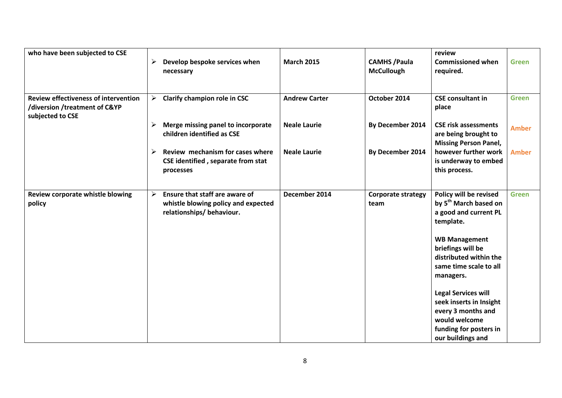| who have been subjected to CSE                                                                   | ➤ | Develop bespoke services when<br>necessary                                                         | <b>March 2015</b>    | <b>CAMHS/Paula</b><br><b>McCullough</b> | review<br><b>Commissioned when</b><br>required.                                                                                                                                                                                                                                                                                                                | <b>Green</b> |
|--------------------------------------------------------------------------------------------------|---|----------------------------------------------------------------------------------------------------|----------------------|-----------------------------------------|----------------------------------------------------------------------------------------------------------------------------------------------------------------------------------------------------------------------------------------------------------------------------------------------------------------------------------------------------------------|--------------|
| <b>Review effectiveness of intervention</b><br>/diversion /treatment of C&YP<br>subjected to CSE |   | $\triangleright$ Clarify champion role in CSC                                                      | <b>Andrew Carter</b> | October 2014                            | <b>CSE</b> consultant in<br>place                                                                                                                                                                                                                                                                                                                              | <b>Green</b> |
|                                                                                                  |   | Merge missing panel to incorporate<br>children identified as CSE                                   | <b>Neale Laurie</b>  | By December 2014                        | <b>CSE risk assessments</b><br>are being brought to<br><b>Missing Person Panel,</b>                                                                                                                                                                                                                                                                            | <b>Amber</b> |
|                                                                                                  | ≻ | Review mechanism for cases where<br>CSE identified, separate from stat<br>processes                | <b>Neale Laurie</b>  | By December 2014                        | however further work<br>is underway to embed<br>this process.                                                                                                                                                                                                                                                                                                  | <b>Amber</b> |
| Review corporate whistle blowing<br>policy                                                       | ↘ | Ensure that staff are aware of<br>whistle blowing policy and expected<br>relationships/ behaviour. | December 2014        | <b>Corporate strategy</b><br>team       | Policy will be revised<br>by 5 <sup>th</sup> March based on<br>a good and current PL<br>template.<br><b>WB Management</b><br>briefings will be<br>distributed within the<br>same time scale to all<br>managers.<br><b>Legal Services will</b><br>seek inserts in Insight<br>every 3 months and<br>would welcome<br>funding for posters in<br>our buildings and | <b>Green</b> |